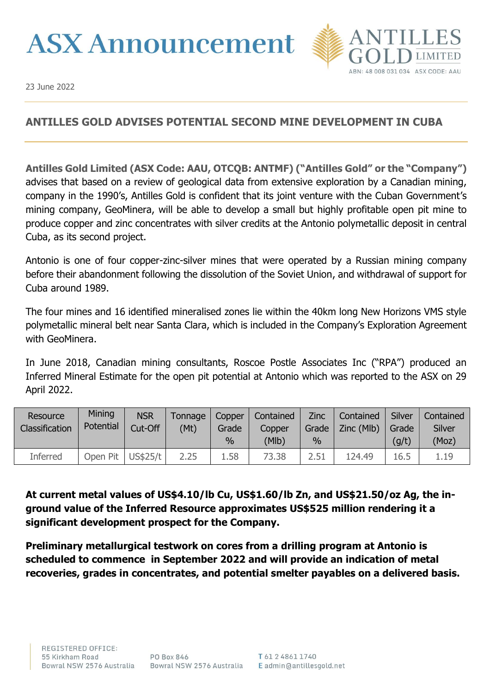## **ASX Announcement**



23 June 2022

## **ANTILLES GOLD ADVISES POTENTIAL SECOND MINE DEVELOPMENT IN CUBA**

**Antilles Gold Limited (ASX Code: AAU, OTCQB: ANTMF) ("Antilles Gold" or the "Company")**  advises that based on a review of geological data from extensive exploration by a Canadian mining, company in the 1990's, Antilles Gold is confident that its joint venture with the Cuban Government's mining company, GeoMinera, will be able to develop a small but highly profitable open pit mine to produce copper and zinc concentrates with silver credits at the Antonio polymetallic deposit in central Cuba, as its second project.

Antonio is one of four copper-zinc-silver mines that were operated by a Russian mining company before their abandonment following the dissolution of the Soviet Union, and withdrawal of support for Cuba around 1989.

The four mines and 16 identified mineralised zones lie within the 40km long New Horizons VMS style polymetallic mineral belt near Santa Clara, which is included in the Company's Exploration Agreement with GeoMinera.

In June 2018, Canadian mining consultants, Roscoe Postle Associates Inc ("RPA") produced an Inferred Mineral Estimate for the open pit potential at Antonio which was reported to the ASX on 29 April 2022.

| Resource<br>Classification | Mining<br>Potential | <b>NSR</b><br>Cut-Off | Tonnage<br>(Mt) | Copper<br>Grade<br>$\%$ | Contained<br>Copper<br>(MIb) | <b>Zinc</b><br>Grade<br>$\%$ | Contained<br>Zinc (Mlb) | <b>Silver</b><br>Grade<br>(g/t) | Contained<br><b>Silver</b><br>(Moz) |
|----------------------------|---------------------|-----------------------|-----------------|-------------------------|------------------------------|------------------------------|-------------------------|---------------------------------|-------------------------------------|
| <b>Inferred</b>            | Open Pit            | US\$25/t              | 2.25            | 1.58                    | 73.38                        | 2.51                         | 124.49                  | 16.5                            | 1.19                                |

**At current metal values of US\$4.10/lb Cu, US\$1.60/lb Zn, and US\$21.50/oz Ag, the inground value of the Inferred Resource approximates US\$525 million rendering it a significant development prospect for the Company.**

**Preliminary metallurgical testwork on cores from a drilling program at Antonio is scheduled to commence in September 2022 and will provide an indication of metal recoveries, grades in concentrates, and potential smelter payables on a delivered basis.**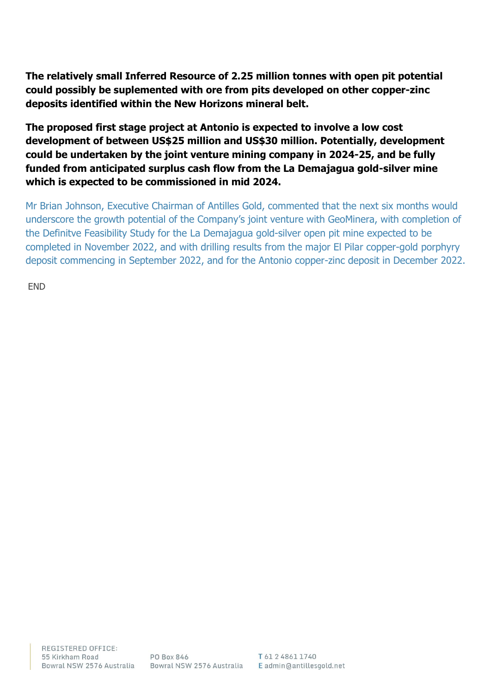**The relatively small Inferred Resource of 2.25 million tonnes with open pit potential could possibly be suplemented with ore from pits developed on other copper-zinc deposits identified within the New Horizons mineral belt.**

**The proposed first stage project at Antonio is expected to involve a low cost development of between US\$25 million and US\$30 million. Potentially, development could be undertaken by the joint venture mining company in 2024-25, and be fully funded from anticipated surplus cash flow from the La Demajagua gold-silver mine which is expected to be commissioned in mid 2024.** 

Mr Brian Johnson, Executive Chairman of Antilles Gold, commented that the next six months would underscore the growth potential of the Company's joint venture with GeoMinera, with completion of the Definitve Feasibility Study for the La Demajagua gold-silver open pit mine expected to be completed in November 2022, and with drilling results from the major El Pilar copper-gold porphyry deposit commencing in September 2022, and for the Antonio copper-zinc deposit in December 2022.

END